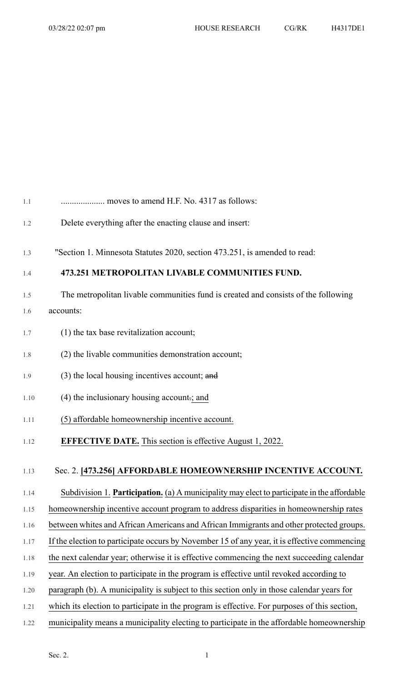| 1.1  | moves to amend H.F. No. 4317 as follows:                                                    |
|------|---------------------------------------------------------------------------------------------|
| 1.2  | Delete everything after the enacting clause and insert:                                     |
| 1.3  | "Section 1. Minnesota Statutes 2020, section 473.251, is amended to read:                   |
| 1.4  | 473.251 METROPOLITAN LIVABLE COMMUNITIES FUND.                                              |
| 1.5  | The metropolitan livable communities fund is created and consists of the following          |
| 1.6  | accounts:                                                                                   |
| 1.7  | (1) the tax base revitalization account;                                                    |
| 1.8  | (2) the livable communities demonstration account;                                          |
| 1.9  | (3) the local housing incentives account; and                                               |
| 1.10 | (4) the inclusionary housing account-; and                                                  |
| 1.11 | (5) affordable homeownership incentive account.                                             |
| 1.12 | <b>EFFECTIVE DATE.</b> This section is effective August 1, 2022.                            |
| 1.13 | Sec. 2. [473.256] AFFORDABLE HOMEOWNERSHIP INCENTIVE ACCOUNT.                               |
| 1.14 | Subdivision 1. Participation. (a) A municipality may elect to participate in the affordable |
| 1.15 | homeownership incentive account program to address disparities in homeownership rates       |
| 1.16 | between whites and African Americans and African Immigrants and other protected groups.     |

- 1.17 If the election to participate occurs by November 15 of any year, it is effective commencing
- 1.18 the next calendar year; otherwise it is effective commencing the next succeeding calendar
- 1.19 year. An election to participate in the program is effective until revoked according to
- 1.20 paragraph (b). A municipality is subject to this section only in those calendar years for
- 1.21 which its election to participate in the program is effective. For purposes of this section,
- 1.22 municipality means a municipality electing to participate in the affordable homeownership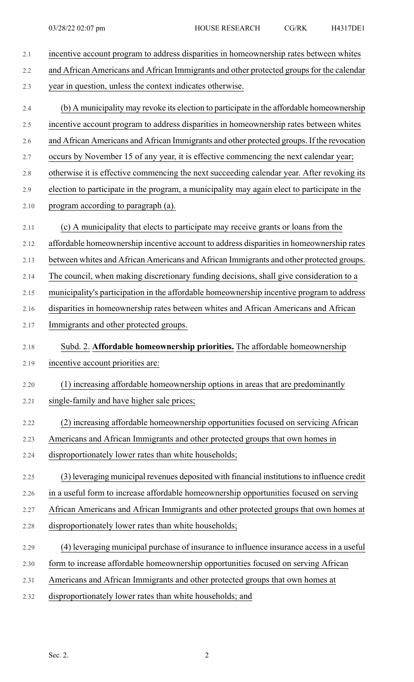| 2.1     | incentive account program to address disparities in homeownership rates between whites       |
|---------|----------------------------------------------------------------------------------------------|
| 2.2     | and African Americans and African Immigrants and other protected groups for the calendar     |
| 2.3     | year in question, unless the context indicates otherwise.                                    |
| 2.4     | (b) A municipality may revoke its election to participate in the affordable homeownership    |
| 2.5     | incentive account program to address disparities in homeownership rates between whites       |
| 2.6     | and African Americans and African Immigrants and other protected groups. If the revocation   |
| 2.7     | occurs by November 15 of any year, it is effective commencing the next calendar year;        |
| $2.8\,$ | otherwise it is effective commencing the next succeeding calendar year. After revoking its   |
| 2.9     | election to participate in the program, a municipality may again elect to participate in the |
| 2.10    | program according to paragraph (a).                                                          |
| 2.11    | (c) A municipality that elects to participate may receive grants or loans from the           |
| 2.12    | affordable homeownership incentive account to address disparities in homeownership rates     |
| 2.13    | between whites and African Americans and African Immigrants and other protected groups.      |
| 2.14    | The council, when making discretionary funding decisions, shall give consideration to a      |
| 2.15    | municipality's participation in the affordable homeownership incentive program to address    |
| 2.16    | disparities in homeownership rates between whites and African Americans and African          |
| 2.17    | Immigrants and other protected groups.                                                       |
| 2.18    | Subd. 2. Affordable homeownership priorities. The affordable homeownership                   |
| 2.19    | incentive account priorities are:                                                            |
| 2.20    | (1) increasing affordable homeownership options in areas that are predominantly              |
| 2.21    | single-family and have higher sale prices;                                                   |
| 2.22    | (2) increasing affordable homeownership opportunities focused on servicing African           |
| 2.23    | Americans and African Immigrants and other protected groups that own homes in                |
| 2.24    | disproportionately lower rates than white households;                                        |
| 2.25    | (3) leveraging municipal revenues deposited with financial institutions to influence credit  |
| 2.26    | in a useful form to increase affordable homeownership opportunities focused on serving       |
| 2.27    | African Americans and African Immigrants and other protected groups that own homes at        |
| 2.28    | disproportionately lower rates than white households;                                        |
| 2.29    | (4) leveraging municipal purchase of insurance to influence insurance access in a useful     |
| 2.30    | form to increase affordable homeownership opportunities focused on serving African           |
| 2.31    | Americans and African Immigrants and other protected groups that own homes at                |
| 2.32    | disproportionately lower rates than white households; and                                    |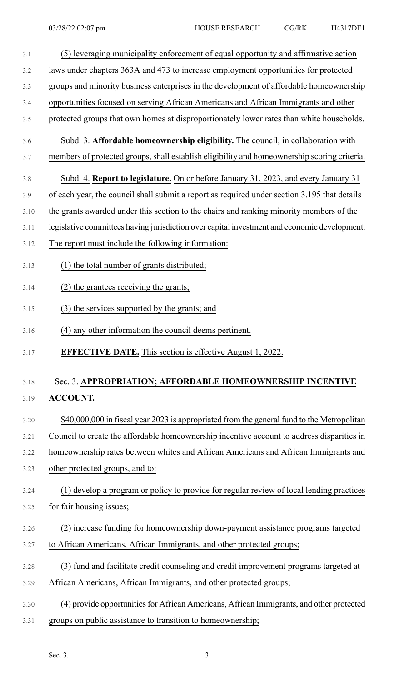| 3.1  | (5) leveraging municipality enforcement of equal opportunity and affirmative action          |
|------|----------------------------------------------------------------------------------------------|
| 3.2  | laws under chapters 363A and 473 to increase employment opportunities for protected          |
| 3.3  | groups and minority business enterprises in the development of affordable homeownership      |
| 3.4  | opportunities focused on serving African Americans and African Immigrants and other          |
| 3.5  | protected groups that own homes at disproportionately lower rates than white households.     |
| 3.6  | Subd. 3. Affordable homeownership eligibility. The council, in collaboration with            |
| 3.7  | members of protected groups, shall establish eligibility and homeownership scoring criteria. |
| 3.8  | Subd. 4. Report to legislature. On or before January 31, 2023, and every January 31          |
| 3.9  | of each year, the council shall submit a report as required under section 3.195 that details |
| 3.10 | the grants awarded under this section to the chairs and ranking minority members of the      |
| 3.11 | legislative committees having jurisdiction over capital investment and economic development. |
| 3.12 | The report must include the following information:                                           |
| 3.13 | (1) the total number of grants distributed;                                                  |
| 3.14 | (2) the grantees receiving the grants;                                                       |
| 3.15 | (3) the services supported by the grants; and                                                |
| 3.16 | (4) any other information the council deems pertinent.                                       |
| 3.17 | <b>EFFECTIVE DATE.</b> This section is effective August 1, 2022.                             |
| 3.18 | Sec. 3. APPROPRIATION; AFFORDABLE HOMEOWNERSHIP INCENTIVE                                    |
| 3.19 | <b>ACCOUNT.</b>                                                                              |
| 3.20 | \$40,000,000 in fiscal year 2023 is appropriated from the general fund to the Metropolitan   |
| 3.21 | Council to create the affordable homeownership incentive account to address disparities in   |
| 3.22 | homeownership rates between whites and African Americans and African Immigrants and          |
| 3.23 | other protected groups, and to:                                                              |
| 3.24 | (1) develop a program or policy to provide for regular review of local lending practices     |
| 3.25 | for fair housing issues;                                                                     |
| 3.26 | (2) increase funding for homeownership down-payment assistance programs targeted             |
| 3.27 | to African Americans, African Immigrants, and other protected groups;                        |
| 3.28 | (3) fund and facilitate credit counseling and credit improvement programs targeted at        |
| 3.29 | African Americans, African Immigrants, and other protected groups;                           |
| 3.30 | (4) provide opportunities for African Americans, African Immigrants, and other protected     |
| 3.31 | groups on public assistance to transition to homeownership;                                  |